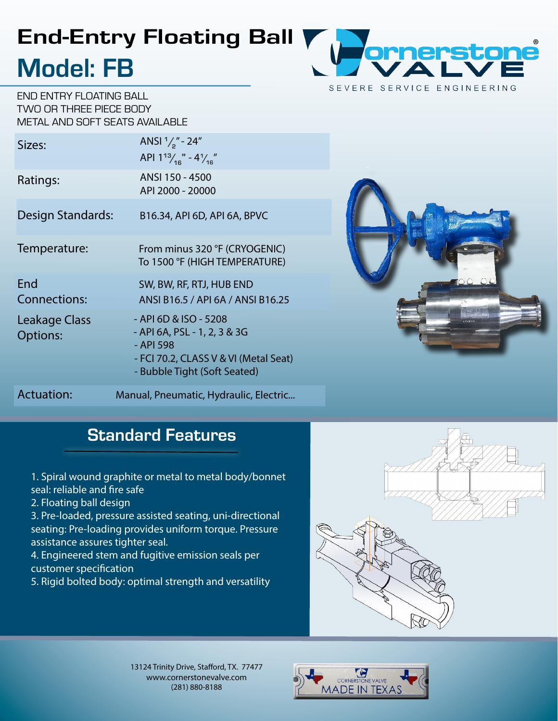## End-Entry Floating Ball Model: FB

END ENTRY FLOATING BALL TWO OR THREE PIECE BODY METAL AND SOFT SEATS AVAILABLE

| Sizes:                                  | ANSI $\frac{1}{2}$ " - 24"<br>API $1^{13} / _{16}$ " - $4 / _{16}$ "                                                                        |
|-----------------------------------------|---------------------------------------------------------------------------------------------------------------------------------------------|
| Ratings:                                | ANSI 150 - 4500<br>API 2000 - 20000                                                                                                         |
| Design Standards:                       | B16.34, API 6D, API 6A, BPVC                                                                                                                |
| Temperature:                            | From minus 320 °F (CRYOGENIC)<br>To 1500 °F (HIGH TEMPERATURE)                                                                              |
| End<br><b>Connections:</b>              | SW, BW, RF, RTJ, HUB END<br>ANSI B16.5 / API 6A / ANSI B16.25                                                                               |
| <b>Leakage Class</b><br><b>Options:</b> | - API 6D & ISO - 5208<br>- API 6A, PSL - 1, 2, 3 & 3G<br>- API 598<br>- FCI 70.2, CLASS V & VI (Metal Seat)<br>- Bubble Tight (Soft Seated) |
| <b>Actuation:</b>                       | Manual, Pneumatic, Hydraulic, Electric                                                                                                      |



### **Standard Features**

1. Spiral wound graphite or metal to metal body/bonnet seal: reliable and fire safe

2. Floating ball design

3. Pre-loaded, pressure assisted seating, uni-directional seating: Pre-loading provides uniform torque. Pressure assistance assures tighter seal.

4. Engineered stem and fugitive emission seals per customer specification

5. Rigid bolted body: optimal strength and versatility



13124 Trinity Drive, Stafford, TX. 77477 www.cornerstonevalve.com (281) 880-8188